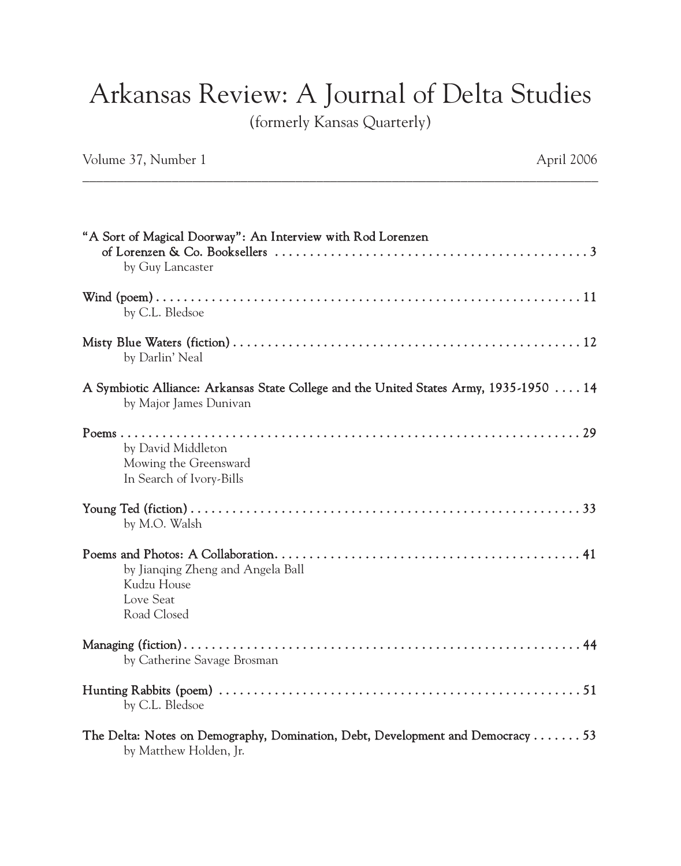## Arkansas Review: A Journal of Delta Studies

(formerly Kansas Quarterly)

Volume 37, Number 1 April 2006

| "A Sort of Magical Doorway": An Interview with Rod Lorenzen<br>by Guy Lancaster                                  |
|------------------------------------------------------------------------------------------------------------------|
| by C.L. Bledsoe                                                                                                  |
| by Darlin' Neal                                                                                                  |
| A Symbiotic Alliance: Arkansas State College and the United States Army, 1935-1950  14<br>by Major James Dunivan |
| by David Middleton<br>Mowing the Greensward<br>In Search of Ivory-Bills                                          |
| by M.O. Walsh                                                                                                    |
| by Jianging Zheng and Angela Ball<br>Kudzu House<br>Love Seat<br>Road Closed                                     |
| by Catherine Savage Brosman                                                                                      |
| by C.L. Bledsoe                                                                                                  |
| The Delta: Notes on Demography, Domination, Debt, Development and Democracy 53<br>by Matthew Holden, Jr.         |